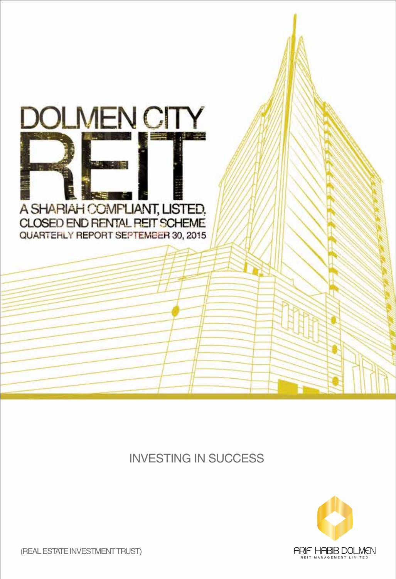

### INVESTING IN SUCCESS



(REAL ESTATE INVESTMENT TRUST)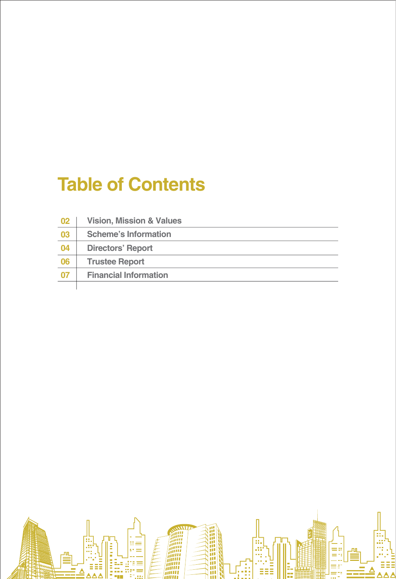# **Table of Contents**

| 02 | <b>Vision, Mission &amp; Values</b> |
|----|-------------------------------------|
| 03 | <b>Scheme's Information</b>         |
| 04 | <b>Directors' Report</b>            |
| 06 | <b>Trustee Report</b>               |
| 07 | <b>Financial Information</b>        |
|    |                                     |

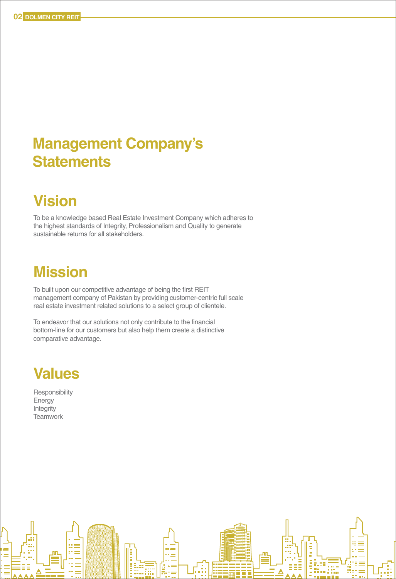## **Management Company's Statements**

## **Vision**

To be a knowledge based Real Estate Investment Company which adheres to the highest standards of Integrity, Professionalism and Quality to generate sustainable returns for all stakeholders.

### **Mission**

To built upon our competitive advantage of being the first REIT management company of Pakistan by providing customer-centric full scale real estate investment related solutions to a select group of clientele.

 $=$ 

To endeavor that our solutions not only contribute to the financial bottom-line for our customers but also help them create a distinctive comparative advantage.



**Responsibility** Energy Integrity **Teamwork**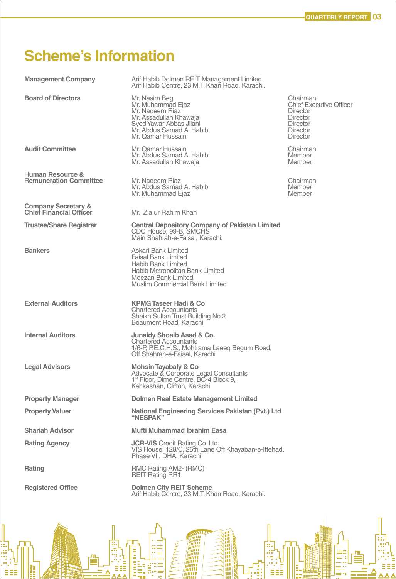THE CHANNEL

лn

## **Scheme's Information**

D.

l

ś

Film

f<br>E

**HEERED EER** 

| <b>Management Company</b>                                        | Arif Habib Dolmen REIT Management Limited<br>Arif Habib Centre, 23 M.T. Khan Road, Karachi.                                                                                |                                                                                                                                    |
|------------------------------------------------------------------|----------------------------------------------------------------------------------------------------------------------------------------------------------------------------|------------------------------------------------------------------------------------------------------------------------------------|
| <b>Board of Directors</b>                                        | Mr. Nasim Beg<br>Mr. Muhammad Ejaz<br>Mr. Nadeem Riaz<br>Mr. Assadullah Khawaja<br>Syed Yawar Abbas Jilani<br>Mr. Abdus Samad A. Habib<br>Mr. Qamar Hussain                | Chairman<br><b>Chief Executive Officer</b><br><b>Director</b><br><b>Director</b><br>Director<br><b>Director</b><br><b>Director</b> |
| <b>Audit Committee</b>                                           | Mr. Qamar Hussain<br>Mr. Abdus Samad A. Habib<br>Mr. Assadullah Khawaja                                                                                                    | Chairman<br>Member<br>Member                                                                                                       |
| Human Resource &<br><b>Remuneration Committee</b>                | Mr. Nadeem Riaz<br>Mr. Abdus Samad A. Habib<br>Mr. Muhammad Ejaz                                                                                                           | Chairman<br>Member<br>Member                                                                                                       |
| <b>Company Secretary &amp;</b><br><b>Chief Financial Officer</b> | Mr. Zia ur Rahim Khan                                                                                                                                                      |                                                                                                                                    |
| <b>Trustee/Share Registrar</b>                                   | <b>Central Depository Company of Pakistan Limited</b><br>CDC House, 99-B, SMCHS<br>Main Shahrah-e-Faisal, Karachi.                                                         |                                                                                                                                    |
| <b>Bankers</b>                                                   | Askari Bank Limited<br><b>Faisal Bank Limited</b><br>Habib Bank Limited<br>Habib Metropolitan Bank Limited<br>Meezan Bank Limited<br><b>Muslim Commercial Bank Limited</b> |                                                                                                                                    |
| <b>External Auditors</b>                                         | <b>KPMG Taseer Hadi &amp; Co</b><br><b>Chartered Accountants</b><br>Sheikh Sultan Trust Building No.2<br>Beaumont Road, Karachi                                            |                                                                                                                                    |
| <b>Internal Auditors</b>                                         | Junaidy Shoaib Asad & Co.<br><b>Chartered Accountants</b><br>1/6-P, P.E.C.H.S., Mohtrama Laeeq Begum Road,<br>Off Shahrah-e-Faisal, Karachi                                |                                                                                                                                    |
| <b>Legal Advisors</b>                                            | Mohsin Tayabaly & Co<br>Advocate & Corporate Legal Consultants<br>1 <sup>st</sup> Floor, Dime Centre, BC-4 Block 9,<br>Kehkashan, Clifton, Karachi.                        |                                                                                                                                    |
| <b>Property Manager</b>                                          | Dolmen Real Estate Management Limited                                                                                                                                      |                                                                                                                                    |
| <b>Property Valuer</b>                                           | National Engineering Services Pakistan (Pvt.) Ltd<br>"NESPAK"                                                                                                              |                                                                                                                                    |
| <b>Shariah Advisor</b>                                           | Mufti Muhammad Ibrahim Easa                                                                                                                                                |                                                                                                                                    |
| <b>Rating Agency</b>                                             | <b>JCR-VIS</b> Credit Rating Co. Ltd.<br>VIS House, 128/C, 25th Lane Off Khayaban-e-Ittehad,<br>Phase VII, DHA, Karachi                                                    |                                                                                                                                    |
| Rating                                                           | RMC Rating AM2- (RMC)<br><b>REIT Rating RR1</b>                                                                                                                            |                                                                                                                                    |
| <b>Registered Office</b>                                         | <b>Dolmen City REIT Scheme</b><br>Arif Habib Centre, 23 M.T. Khan Road, Karachi.                                                                                           |                                                                                                                                    |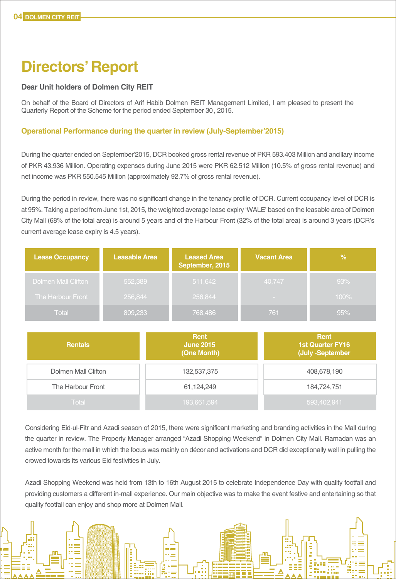## **Directors' Report**

#### **Dear Unit holders of Dolmen City REIT**

On behalf of the Board of Directors of Arif Habib Dolmen REIT Management Limited, I am pleased to present the Quarterly Report of the Scheme for the period ended September 30, 2015.

#### **Operational Performance during the quarter in review (July-September'2015)**

During the quarter ended on September'2015, DCR booked gross rental revenue of PKR 593.403 Million and ancillary income of PKR 43.936 Million. Operating expenses during June 2015 were PKR 62.512 Million (10.5% of gross rental revenue) and net income was PKR 550.545 Million (approximately 92.7% of gross rental revenue).

During the period in review, there was no significant change in the tenancy profile of DCR. Current occupancy level of DCR is at 95%. Taking a period from June 1st, 2015, the weighted average lease expiry 'WALE' based on the leasable area of Dolmen City Mall (68% of the total area) is around 5 years and of the Harbour Front (32% of the total area) is around 3 years (DCR's current average lease expiry is 4.5 years).

| <b>Lease Occupancy</b>     | <b>Leasable Area</b> | <b>Leased Area</b><br>September, 2015 | <b>Vacant Area</b> | $\%$ |
|----------------------------|----------------------|---------------------------------------|--------------------|------|
| <b>Dolmen Mall Clifton</b> | 552,389              | 511,642                               | 40,747             | 93%  |
| The Harbour Front          | 256,844              | 256,844                               | <b>STATISTICS</b>  | 100% |
| Total                      | 809,233              | 768,486                               | 761                | 95%  |

| <b>Rentals</b>      | <b>Rent</b><br><b>June 2015</b><br>(One Month) | Rent<br><b>1st Quarter FY16</b><br>(July -September |
|---------------------|------------------------------------------------|-----------------------------------------------------|
| Dolmen Mall Clifton | 132,537,375                                    | 408,678,190                                         |
| The Harbour Front   | 61,124,249                                     | 184,724,751                                         |
| Total               | 193,661,594                                    | 593,402,941                                         |

Considering Eid-ul-Fitr and Azadi season of 2015, there were significant marketing and branding activities in the Mall during the quarter in review. The Property Manager arranged "Azadi Shopping Weekend" in Dolmen City Mall. Ramadan was an active month for the mall in which the focus was mainly on décor and activations and DCR did exceptionally well in pulling the crowed towards its various Eid festivities in July.

Azadi Shopping Weekend was held from 13th to 16th August 2015 to celebrate Independence Day with quality footfall and providing customers a different in-mall experience. Our main objective was to make the event festive and entertaining so that quality footfall can enjoy and shop more at Dolmen Mall.

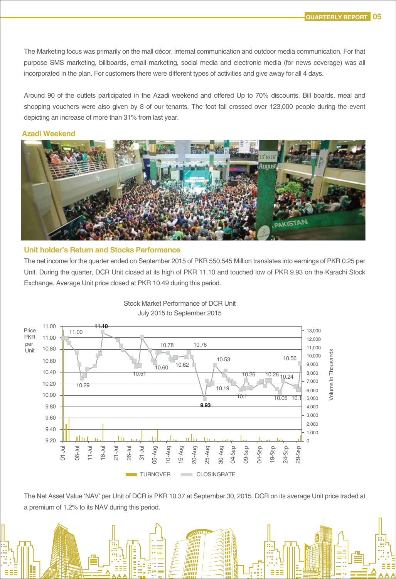The Marketing focus was primarily on the mall décor, internal communication and outdoor media communication. For that purpose SMS marketing, billboards, email marketing, social media and electronic media (for news coverage) was all incorporated in the plan. For customers there were different types of activities and give away for all 4 days.

Around 90 of the outlets participated in the Azadi weekend and offered Up to 70% discounts. Bill boards, meal and shopping vouchers were also given by 8 of our tenants. The foot fall crossed over 123,000 people during the event depicting an increase of more than 31% from last year.

#### **Azadi Weekend**



#### **Unit holder's Return and Stocks Performance**

The net income for the quarter ended on September 2015 of PKR 550.545 Million translates into earnings of PKR 0.25 per Unit. During the quarter, DCR Unit closed at its high of PKR 11.10 and touched low of PKR 9.93 on the Karachi Stock Exchange. Average Unit price closed at PKR 10.49 during this period.



Stock Market Performance of DCR Unit July 2015 to September 2015

The Net Asset Value 'NAV' per Unit of DCR is PKR 10.37 at September 30, 2015. DCR on its average Unit price traded at a premium of 1.2% to its NAV during this period.

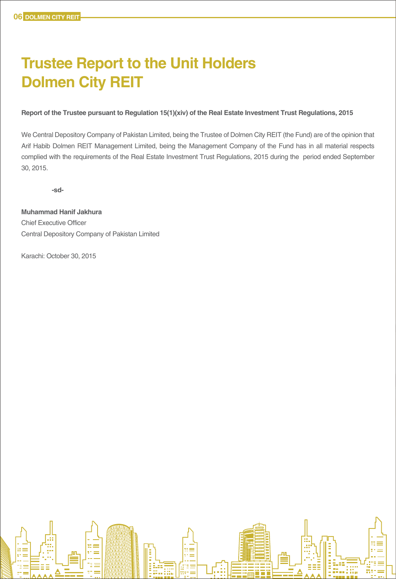## **Trustee Report to the Unit Holders Dolmen City REIT**

#### **Report of the Trustee pursuant to Regulation 15(1)(xiv) of the Real Estate Investment Trust Regulations, 2015**

We Central Depository Company of Pakistan Limited, being the Trustee of Dolmen City REIT (the Fund) are of the opinion that Arif Habib Dolmen REIT Management Limited, being the Management Company of the Fund has in all material respects complied with the requirements of the Real Estate Investment Trust Regulations, 2015 during the period ended September 30, 2015.

**-sd-**

**Muhammad Hanif Jakhura** Chief Executive Officer Central Depository Company of Pakistan Limited

Karachi: October 30, 2015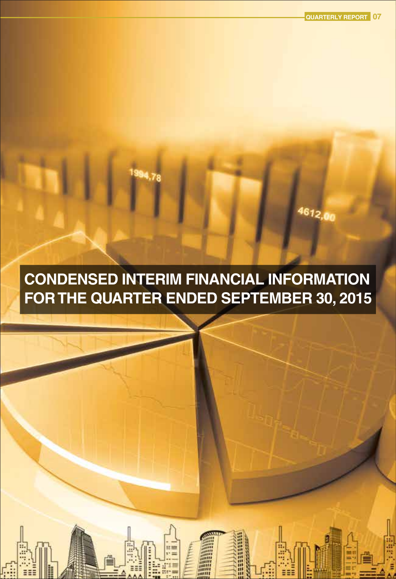4612,00

## **CONDENSED INTERIM FINANCIAL INFORMATION FOR THE QUARTER ENDED SEPTEMBER 30, 2015**

œ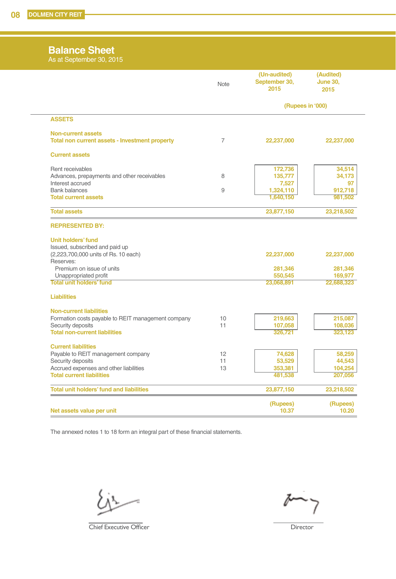#### **Balance Sheet**

As at September 30, 2015

|                                                                            | <b>Note</b> | (Un-audited)<br>September 30,<br>2015 | (Audited)<br><b>June 30,</b><br>2015 |
|----------------------------------------------------------------------------|-------------|---------------------------------------|--------------------------------------|
|                                                                            |             | (Rupees in '000)                      |                                      |
| <b>ASSETS</b>                                                              |             |                                       |                                      |
| <b>Non-current assets</b>                                                  |             |                                       |                                      |
| Total non current assets - Investment property                             | 7           | 22,237,000                            | 22,237,000                           |
| <b>Current assets</b>                                                      |             |                                       |                                      |
| Rent receivables                                                           |             | 172,736                               | 34,514                               |
| Advances, prepayments and other receivables                                | 8           | 135,777                               | 34,173                               |
| Interest accrued<br><b>Bank balances</b>                                   | 9           | 7,527<br>1,324,110                    | 97<br>912,718                        |
| <b>Total current assets</b>                                                |             | 1,640,150                             | 981,502                              |
| <b>Total assets</b>                                                        |             | 23,877,150                            | 23,218,502                           |
|                                                                            |             |                                       |                                      |
| <b>REPRESENTED BY:</b>                                                     |             |                                       |                                      |
| <b>Unit holders' fund</b>                                                  |             |                                       |                                      |
| Issued, subscribed and paid up                                             |             |                                       |                                      |
| (2,223,700,000 units of Rs. 10 each)<br>Reserves:                          |             | 22,237,000                            | 22,237,000                           |
| Premium on issue of units                                                  |             | 281,346                               | 281,346                              |
| Unappropriated profit                                                      |             | 550,545                               | 169,977                              |
| Total unit holders' fund                                                   |             | 23,068,891                            | 22,688,323                           |
| <b>Liabilities</b>                                                         |             |                                       |                                      |
| <b>Non-current liabilities</b>                                             |             |                                       |                                      |
| Formation costs payable to REIT management company                         | 10          | 219,663                               | 215,087                              |
| Security deposits                                                          | 11          | 107,058                               | 108,036                              |
| <b>Total non-current liabilities</b>                                       |             | 326,721                               | 323.123                              |
| <b>Current liabilities</b>                                                 |             |                                       |                                      |
| Payable to REIT management company                                         | 12          | 74,628                                | 58,259                               |
| Security deposits                                                          | 11          | 53,529                                | 44,543                               |
| Accrued expenses and other liabilities<br><b>Total current liabilities</b> | 13          | 353,381<br>481,538                    | 104,254<br>207,056                   |
| <b>Total unit holders' fund and liabilities</b>                            |             | 23,877,150                            | 23,218,502                           |
|                                                                            |             | (Rupees)                              | (Rupees)                             |
| Net assets value per unit                                                  |             | 10.37                                 | 10.20                                |

The annexed notes 1 to 18 form an integral part of these financial statements.

Ł

**Chief Executive Officer** Director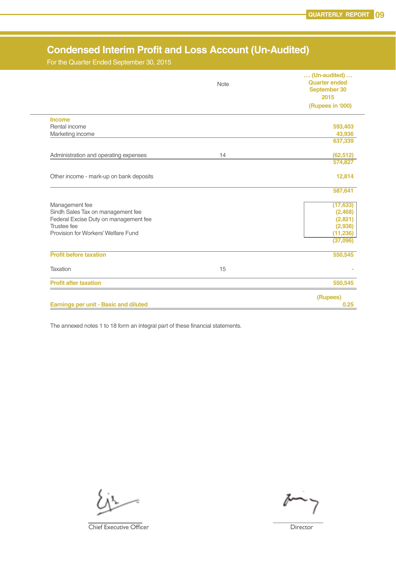### **Condensed Interim Profit and Loss Account (Un-Audited)**

For the Quarter Ended September 30, 2015

|                                              | Note | $\ldots$ (Un-audited) $\ldots$<br><b>Quarter ended</b><br>September 30<br>2015 |
|----------------------------------------------|------|--------------------------------------------------------------------------------|
|                                              |      | (Rupees in '000)                                                               |
| <b>Income</b>                                |      |                                                                                |
| Rental income                                |      | 593,403                                                                        |
| Marketing income                             |      | 43,936<br>637,339                                                              |
|                                              |      |                                                                                |
| Administration and operating expenses        | 14   | (62, 512)                                                                      |
|                                              |      | 574,827                                                                        |
| Other income - mark-up on bank deposits      |      | 12,814                                                                         |
|                                              |      | 587,641                                                                        |
| Management fee                               |      | (17, 633)                                                                      |
| Sindh Sales Tax on management fee            |      | (2, 468)                                                                       |
| Federal Excise Duty on management fee        |      | (2,821)                                                                        |
| Trustee fee                                  |      | (2,938)                                                                        |
| Provision for Workers' Welfare Fund          |      | (11, 236)<br>(37,096)                                                          |
| <b>Profit before taxation</b>                |      | 550,545                                                                        |
| Taxation                                     | 15   |                                                                                |
| <b>Profit after taxation</b>                 |      | 550,545                                                                        |
|                                              |      | (Rupees)                                                                       |
| <b>Earnings per unit - Basic and diluted</b> |      | 0.25                                                                           |

Ī

The annexed notes 1 to 18 form an integral part of these financial statements.

**Chief Executive Officer Director**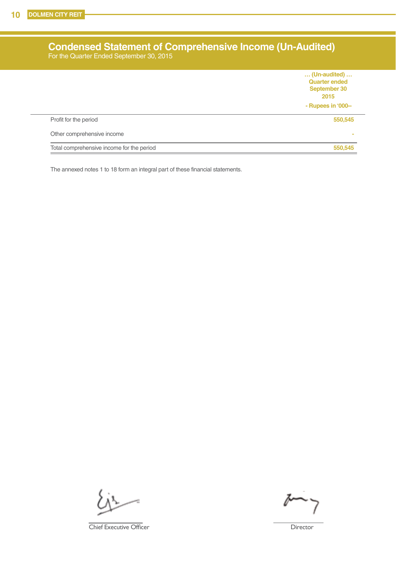Ī

#### **Condensed Statement of Comprehensive Income (Un-Audited)** For the Quarter Ended September 30, 2015

|                                           | (Un-audited)<br><b>Quarter ended</b><br>September 30<br>2015 |
|-------------------------------------------|--------------------------------------------------------------|
|                                           | - Rupees in '000--                                           |
| Profit for the period                     | 550,545                                                      |
| Other comprehensive income                | $\sim$                                                       |
| Total comprehensive income for the period | 550,545                                                      |

The annexed notes 1 to 18 form an integral part of these financial statements.

**Chief Executive Officer** Director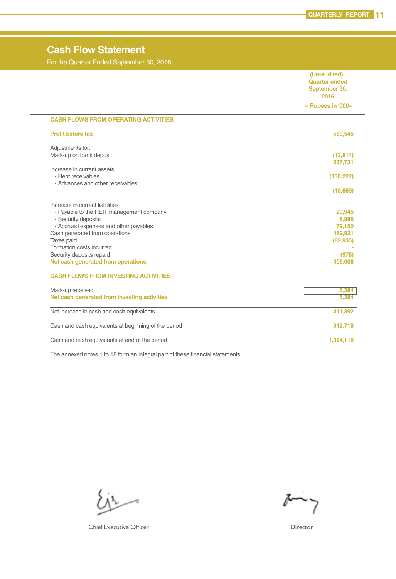### **Cash Flow Statement**

For the Quarter Ended September 30, 2015

|                                                      | (Un-audited)<br><b>Quarter ended</b><br>September 30, |
|------------------------------------------------------|-------------------------------------------------------|
|                                                      | 2015                                                  |
|                                                      | -- Rupees in '000--                                   |
| <b>CASH FLOWS FROM OPERATING ACTIVITIES</b>          |                                                       |
| <b>Profit before tax</b>                             | 550,545                                               |
| Adjustments for:                                     |                                                       |
| Mark-up on bank deposit                              | (12, 814)<br>537,731                                  |
| Increase in current assets                           |                                                       |
| - Rent receivables                                   | (138, 222)                                            |
| - Advances and other receivables                     |                                                       |
|                                                      | (18,669)                                              |
| Increase in current liabilities                      |                                                       |
| - Payable to the REIT management company             | 20.945                                                |
| - Security deposits                                  | 8,986                                                 |
| - Accrued expenses and other payables                | 79,150                                                |
| Cash generated from operations                       | 489,921                                               |
| Taxes paid<br>Formation costs incurred               | (82, 935)                                             |
| Security deposits repaid                             | (978)                                                 |
| Net cash generated from operations                   | 406,008                                               |
|                                                      |                                                       |
| <b>CASH FLOWS FROM INVESTING ACTIVITIES</b>          |                                                       |
| Mark-up received                                     | 5,384                                                 |
| Net cash generated from investing activities         | 5,384                                                 |
| Net increase in cash and cash equivalents            | 411,392                                               |
| Cash and cash equivalents at beginning of the period | 912,718                                               |
| Cash and cash equivalents at end of the period       | 1,324,110                                             |
|                                                      |                                                       |

Ī

The annexed notes 1 to 18 form an integral part of these financial statements.

**Chief Executive Officer** Director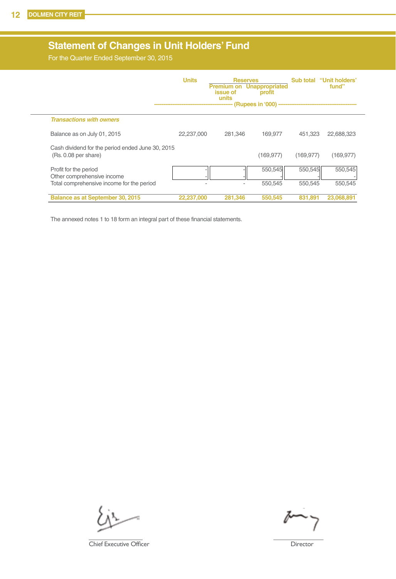### **Statement of Changes in Unit Holders' Fund**

For the Quarter Ended September 30, 2015

|                                                                          | <b>Units</b> | <i>issue</i> of<br>units | <b>Reserves</b><br><b>Premium on Unappropriated</b><br>profit<br>(Rupees in '000) |            | Sub total "Unit holders"<br>fund" |
|--------------------------------------------------------------------------|--------------|--------------------------|-----------------------------------------------------------------------------------|------------|-----------------------------------|
| <b>Transactions with owners</b>                                          |              |                          |                                                                                   |            |                                   |
| Balance as on July 01, 2015                                              | 22,237,000   | 281.346                  | 169.977                                                                           | 451.323    | 22,688,323                        |
| Cash dividend for the period ended June 30, 2015<br>(Rs. 0.08 per share) |              |                          | (169, 977)                                                                        | (169, 977) | (169, 977)                        |
| Profit for the period<br>Other comprehensive income                      |              |                          | 550,545                                                                           | 550,545    | 550,545                           |
| Total comprehensive income for the period                                |              |                          | 550,545                                                                           | 550.545    | 550.545                           |
| Balance as at September 30, 2015                                         | 22,237,000   | 281.346                  | 550,545                                                                           | 831.891    | 23,068,891                        |

The annexed notes 1 to 18 form an integral part of these financial statements.

**Chief Executive Officer** Director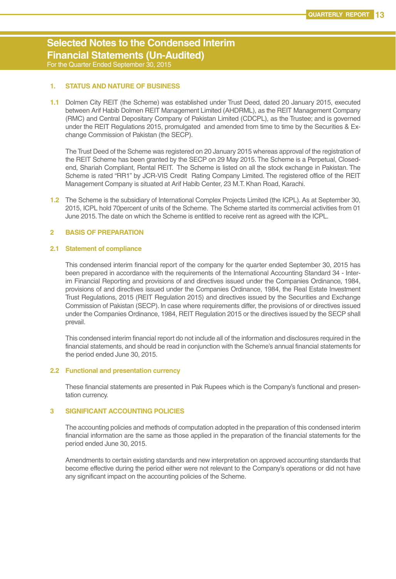#### **Selected Notes to the Condensed Interim Financial Statements (Un-Audited)** For the Quarter Ended September 30, 2015

#### **1. STATUS AND NATURE OF BUSINESS**

**1.1** Dolmen City REIT (the Scheme) was established under Trust Deed, dated 20 January 2015, executed between Arif Habib Dolmen REIT Management Limited (AHDRML), as the REIT Management Company (RMC) and Central Depositary Company of Pakistan Limited (CDCPL), as the Trustee; and is governed under the REIT Regulations 2015, promulgated and amended from time to time by the Securities & Exchange Commission of Pakistan (the SECP).

The Trust Deed of the Scheme was registered on 20 January 2015 whereas approval of the registration of the REIT Scheme has been granted by the SECP on 29 May 2015. The Scheme is a Perpetual, Closedend, Shariah Compliant, Rental REIT. The Scheme is listed on all the stock exchange in Pakistan. The Scheme is rated "RR1" by JCR-VIS Credit Rating Company Limited. The registered office of the REIT Management Company is situated at Arif Habib Center, 23 M.T. Khan Road, Karachi.

**1.2** The Scheme is the subsidiary of International Complex Projects Limited (the ICPL). As at September 30, 2015, ICPL hold 70percent of units of the Scheme. The Scheme started its commercial activities from 01 June 2015. The date on which the Scheme is entitled to receive rent as agreed with the ICPL.

#### **2 BASIS OF PREPARATION**

#### **2.1 Statement of compliance**

This condensed interim financial report of the company for the quarter ended September 30, 2015 has been prepared in accordance with the requirements of the International Accounting Standard 34 - Interim Financial Reporting and provisions of and directives issued under the Companies Ordinance, 1984, provisions of and directives issued under the Companies Ordinance, 1984, the Real Estate Investment Trust Regulations, 2015 (REIT Regulation 2015) and directives issued by the Securities and Exchange Commission of Pakistan (SECP). In case where requirements differ, the provisions of or directives issued under the Companies Ordinance, 1984, REIT Regulation 2015 or the directives issued by the SECP shall prevail.

This condensed interim financial report do not include all of the information and disclosures required in the financial statements, and should be read in conjunction with the Scheme's annual financial statements for the period ended June 30, 2015.

#### **2.2 Functional and presentation currency**

These financial statements are presented in Pak Rupees which is the Company's functional and presentation currency.

#### **3 SIGNIFICANT ACCOUNTING POLICIES**

The accounting policies and methods of computation adopted in the preparation of this condensed interim financial information are the same as those applied in the preparation of the financial statements for the period ended June 30, 2015.

Amendments to certain existing standards and new interpretation on approved accounting standards that become effective during the period either were not relevant to the Company's operations or did not have any significant impact on the accounting policies of the Scheme.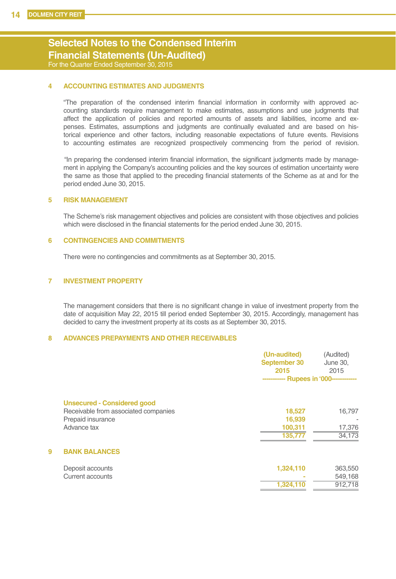#### **Selected Notes to the Condensed Interim Financial Statements (Un-Audited)** For the Quarter Ended September 30, 2015

#### **4 ACCOUNTING ESTIMATES AND JUDGMENTS**

"The preparation of the condensed interim financial information in conformity with approved accounting standards require management to make estimates, assumptions and use judgments that affect the application of policies and reported amounts of assets and liabilities, income and expenses. Estimates, assumptions and judgments are continually evaluated and are based on historical experience and other factors, including reasonable expectations of future events. Revisions to accounting estimates are recognized prospectively commencing from the period of revision.

 "In preparing the condensed interim financial information, the significant judgments made by management in applying the Company's accounting policies and the key sources of estimation uncertainty were the same as those that applied to the preceding financial statements of the Scheme as at and for the period ended June 30, 2015.

#### **5 RISK MANAGEMENT**

The Scheme's risk management objectives and policies are consistent with those objectives and policies which were disclosed in the financial statements for the period ended June 30, 2015.

#### **6 CONTINGENCIES AND COMMITMENTS**

There were no contingencies and commitments as at September 30, 2015.

#### **7 INVESTMENT PROPERTY**

The management considers that there is no significant change in value of investment property from the date of acquisition May 22, 2015 till period ended September 30, 2015. Accordingly, management has decided to carry the investment property at its costs as at September 30, 2015.

#### **8 ADVANCES PREPAYMENTS AND OTHER RECEIVABLES**

|                                                                                                                | (Un-audited)<br>September 30<br>2015<br>----------- Rupees in '000-------- | (Audited)<br>June 30,<br>2015 |
|----------------------------------------------------------------------------------------------------------------|----------------------------------------------------------------------------|-------------------------------|
| <b>Unsecured - Considered good</b><br>Receivable from associated companies<br>Prepaid insurance<br>Advance tax | 18,527<br>16,939<br>100,311<br>135,777                                     | 16,797<br>17,376<br>34,173    |
| 9<br><b>BANK BALANCES</b>                                                                                      |                                                                            |                               |
| Deposit accounts<br>Current accounts                                                                           | 1,324,110<br>1,324,110                                                     | 363,550<br>549,168<br>912,718 |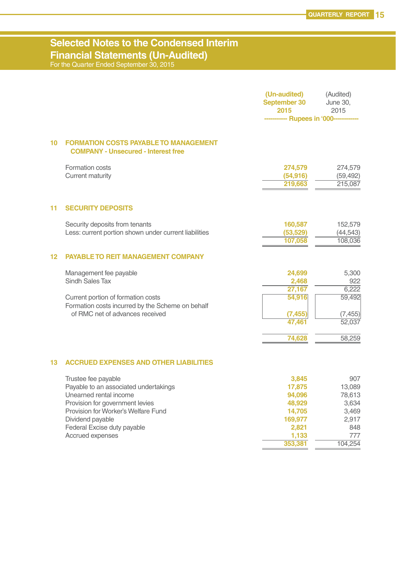### **Selected Notes to the Condensed Interim Financial Statements (Un-Audited)**

For the Quarter Ended September 30, 2015

|                 |                                                                                            | (Un-audited)<br>September 30<br>2015 | (Audited)<br>June 30,<br>2015   |
|-----------------|--------------------------------------------------------------------------------------------|--------------------------------------|---------------------------------|
|                 |                                                                                            | - Rupees in '000-                    |                                 |
| 10 <sup>1</sup> | <b>FORMATION COSTS PAYABLE TO MANAGEMENT</b><br><b>COMPANY - Unsecured - Interest free</b> |                                      |                                 |
|                 | Formation costs<br>Current maturity                                                        | 274,579<br>(54, 916)<br>219,663      | 274,579<br>(59, 492)<br>215,087 |
| 11              | <b>SECURITY DEPOSITS</b>                                                                   |                                      |                                 |
|                 | Security deposits from tenants<br>Less: current portion shown under current liabilities    | 160,587<br>(53, 529)<br>107,058      | 152,579<br>(44, 543)<br>108,036 |
| 12              | <b>PAYABLE TO REIT MANAGEMENT COMPANY</b>                                                  |                                      |                                 |
|                 | Management fee payable<br>Sindh Sales Tax                                                  | 24,699<br>2,468                      | 5,300<br>922                    |
|                 | Current portion of formation costs<br>Formation costs incurred by the Scheme on behalf     | 27,167<br>54,916                     | 6.222<br>59,492                 |
|                 | of RMC net of advances received                                                            | (7, 455)<br>47,461                   | (7, 455)<br>52.037              |
|                 |                                                                                            | 74,628                               | 58,259                          |
| 13              | <b>ACCRUED EXPENSES AND OTHER LIABILITIES</b>                                              |                                      |                                 |
|                 | Trustee fee payable                                                                        | 3,845                                | 907                             |
|                 | Payable to an associated undertakings<br>Unearned rental income                            | 17,875<br>94,096                     | 13,089<br>78,613                |
|                 | Provision for government levies                                                            | 48,929                               | 3,634                           |
|                 | Provision for Worker's Welfare Fund                                                        | 14,705                               | 3,469                           |
|                 | Dividend payable                                                                           | 169,977                              | 2,917                           |
|                 | Federal Excise duty payable                                                                | 2,821                                | 848                             |
|                 | Accrued expenses                                                                           | 1,133<br>353,381                     | 777<br>104.254                  |
|                 |                                                                                            |                                      |                                 |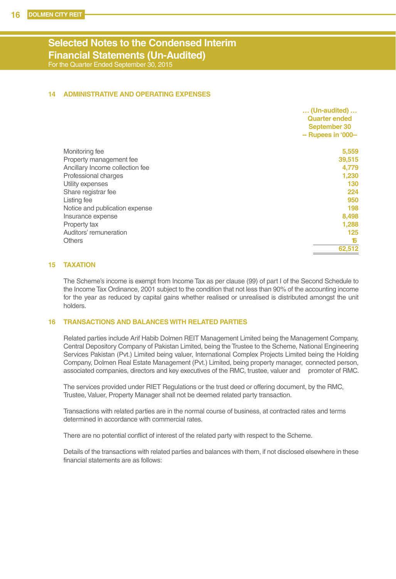#### **Selected Notes to the Condensed Interim Financial Statements (Un-Audited)** For the Quarter Ended September 30, 2015

#### **14 ADMINISTRATIVE AND OPERATING EXPENSES**

|                                 | <b>Quarter ended</b><br>September 30<br>-- Rupees in '000-- |
|---------------------------------|-------------------------------------------------------------|
|                                 |                                                             |
|                                 |                                                             |
| Monitoring fee                  | 5,559                                                       |
| Property management fee         | 39,515                                                      |
| Ancillary Income collection fee | 4,779                                                       |
| Professional charges            | 1,230                                                       |
| Utility expenses                | 130                                                         |
| Share registrar fee             | 224                                                         |
| Listing fee                     | 950                                                         |
| Notice and publication expense  | 198                                                         |
| Insurance expense               | 8,498                                                       |
| Property tax                    | 1,288                                                       |
| Auditors' remuneration          | 125                                                         |
| <b>Others</b>                   | 16                                                          |
|                                 | 62,512                                                      |

#### **15 TAXATION**

The Scheme's income is exempt from Income Tax as per clause (99) of part I of the Second Schedule to the Income Tax Ordinance, 2001 subject to the condition that not less than 90% of the accounting income for the year as reduced by capital gains whether realised or unrealised is distributed amongst the unit holders.

#### **16 TRANSACTIONS AND BALANCES WITH RELATED PARTIES**

Related parties include Arif Habib Dolmen REIT Management Limited being the Management Company, Central Depository Company of Pakistan Limited, being the Trustee to the Scheme, National Engineering Services Pakistan (Pvt.) Limited being valuer, International Complex Projects Limited being the Holding Company, Dolmen Real Estate Management (Pvt.) Limited, being property manager, connected person, associated companies, directors and key executives of the RMC, trustee, valuer and promoter of RMC.

The services provided under RIET Regulations or the trust deed or offering document, by the RMC, Trustee, Valuer, Property Manager shall not be deemed related party transaction.

Transactions with related parties are in the normal course of business, at contracted rates and terms determined in accordance with commercial rates.

There are no potential conflict of interest of the related party with respect to the Scheme.

Details of the transactions with related parties and balances with them, if not disclosed elsewhere in these financial statements are as follows: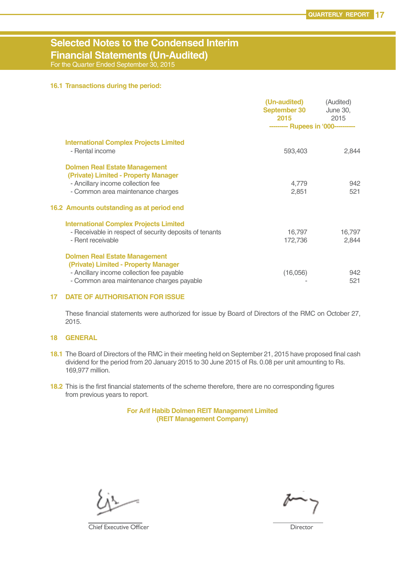### **Selected Notes to the Condensed Interim Financial Statements (Un-Audited)**

For the Quarter Ended September 30, 2015

#### **16.1 Transactions during the period:**

|                                                                                                                                                                                                     | (Un-audited)<br>September 30<br>2015<br>--------- Rupees in '000---------- | (Audited)<br><b>June 30,</b><br>2015 |
|-----------------------------------------------------------------------------------------------------------------------------------------------------------------------------------------------------|----------------------------------------------------------------------------|--------------------------------------|
| <b>International Complex Projects Limited</b><br>- Rental income                                                                                                                                    | 593,403                                                                    | 2,844                                |
| <b>Dolmen Real Estate Management</b><br>(Private) Limited - Property Manager<br>- Ancillary income collection fee<br>- Common area maintenance charges<br>16.2 Amounts outstanding as at period end | 4,779<br>2,851                                                             | 942<br>521                           |
| <b>International Complex Projects Limited</b><br>- Receivable in respect of security deposits of tenants<br>- Rent receivable                                                                       | 16,797<br>172,736                                                          | 16,797<br>2.844                      |
| <b>Dolmen Real Estate Management</b><br>(Private) Limited - Property Manager<br>- Ancillary income collection fee payable<br>- Common area maintenance charges payable                              | (16,056)                                                                   | 942<br>521                           |

#### **17 DATE OF AUTHORISATION FOR ISSUE**

These financial statements were authorized for issue by Board of Directors of the RMC on October 27, 2015.

#### **18 GENERAL**

- **18.1** The Board of Directors of the RMC in their meeting held on September 21, 2015 have proposed final cash dividend for the period from 20 January 2015 to 30 June 2015 of Rs. 0.08 per unit amounting to Rs. 169,977 million.
- **18.2** This is the first financial statements of the scheme therefore, there are no corresponding figures from previous years to report.

#### **For Arif Habib Dolmen REIT Management Limited (REIT Management Company)**

**Chief Executive Officer Director** Director